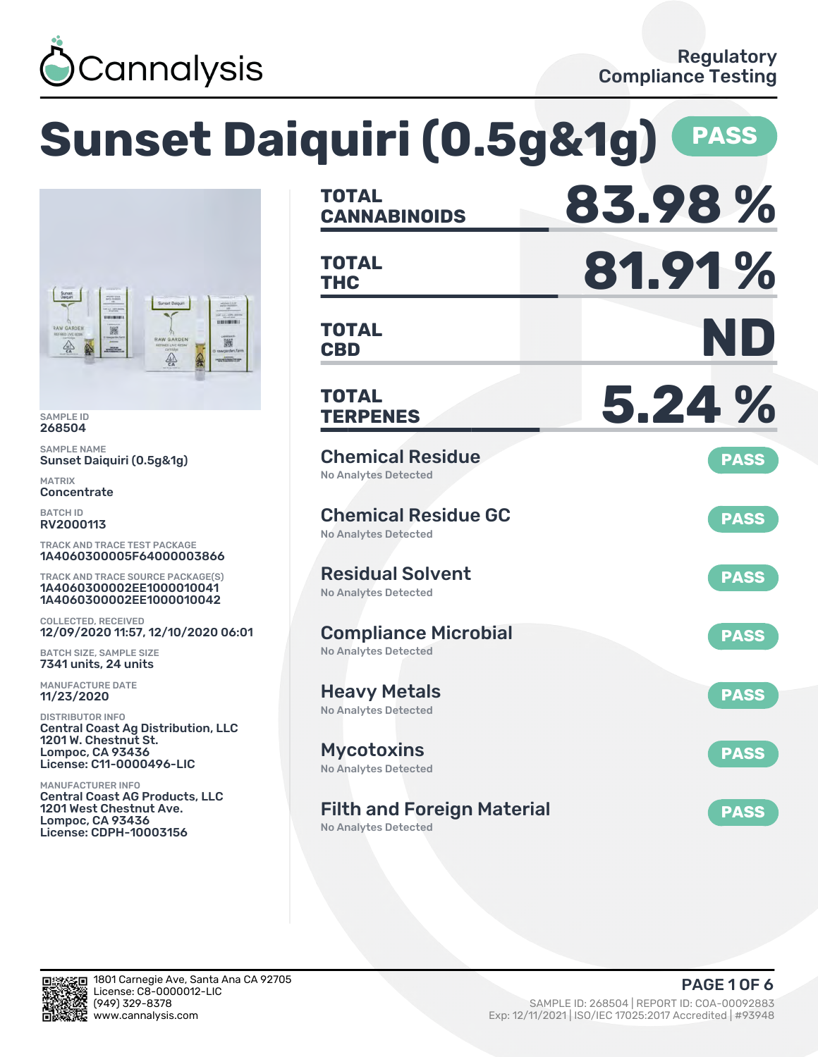

# **Sunset Daiquiri (0.5g&1g) PASS**



SAMPLE ID 268504

SAMPLE NAME Sunset Daiquiri (0.5g&1g)

MATRIX **Concentrate** 

BATCH ID RV2000113

TRACK AND TRACE TEST PACKAGE 1A4060300005F64000003866

TRACK AND TRACE SOURCE PACKAGE(S) 1A4060300002EE1000010041 1A4060300002EE1000010042

COLLECTED, RECEIVED 12/09/2020 11:57, 12/10/2020 06:01

BATCH SIZE, SAMPLE SIZE 7341 units, 24 units

MANUFACTURE DATE 11/23/2020

DISTRIBUTOR INFO Central Coast Ag Distribution, LLC 1201 W. Chestnut St. Lompoc, CA 93436 License: C11-0000496-LIC

MANUFACTURER INFO Central Coast AG Products, LLC 1201 West Chestnut Ave. Lompoc, CA 93436 License: CDPH-10003156

| <b>TOTAL</b><br><b>CANNABINOIDS</b>                              | 83.98%      |
|------------------------------------------------------------------|-------------|
| <b>TOTAL</b><br><b>THC</b>                                       | 81.91%      |
| <b>TOTAL</b><br><b>CBD</b>                                       | ND          |
| TOTAL<br><b>TERPENES</b>                                         | 5.24 %      |
| <b>Chemical Residue</b><br><b>No Analytes Detected</b>           | <b>PASS</b> |
| <b>Chemical Residue GC</b><br><b>No Analytes Detected</b>        | <b>PASS</b> |
| <b>Residual Solvent</b><br><b>No Analytes Detected</b>           | <b>PASS</b> |
| <b>Compliance Microbial</b><br><b>No Analytes Detected</b>       | <b>PASS</b> |
| <b>Heavy Metals</b><br><b>No Analytes Detected</b>               | <b>PASS</b> |
| <b>Mycotoxins</b><br>No Analytes Detected                        | <b>PASS</b> |
| <b>Filth and Foreign Material</b><br><b>No Analytes Detected</b> | <b>PASS</b> |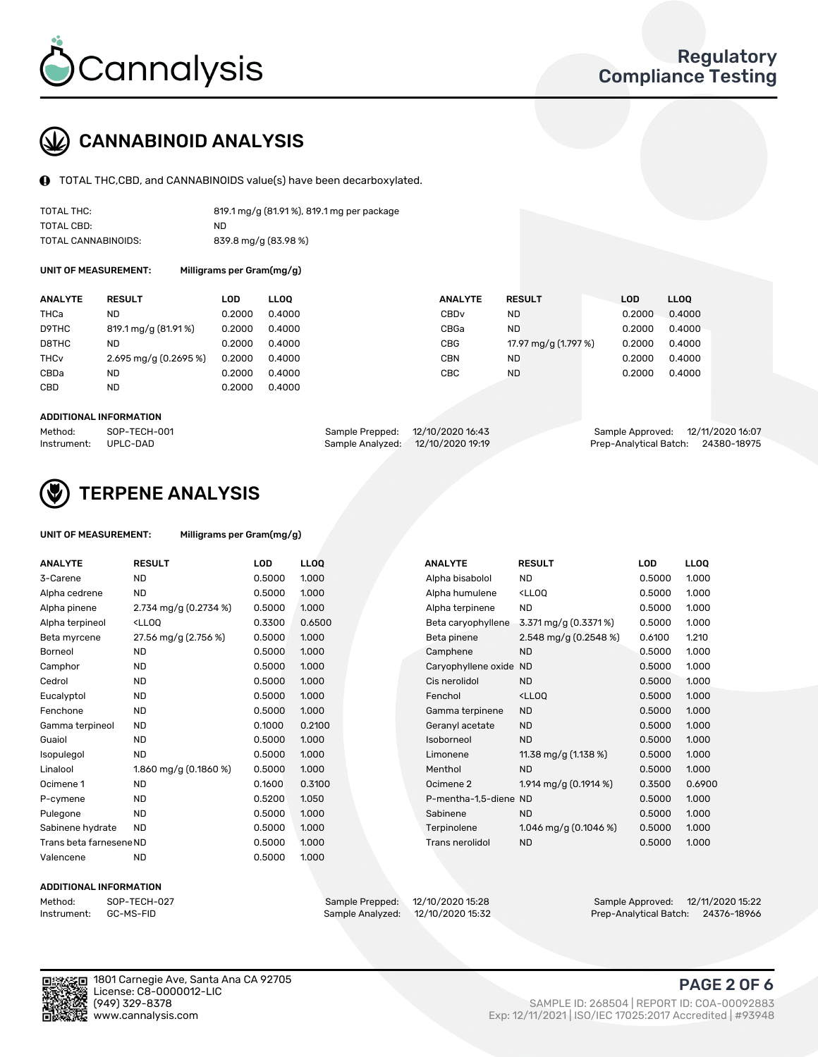

## CANNABINOID ANALYSIS

TOTAL THC,CBD, and CANNABINOIDS value(s) have been decarboxylated.

| TOTAL THC:          | 819.1 mg/g (81.91%), 819.1 mg per package |
|---------------------|-------------------------------------------|
| TOTAL CBD:          | ND.                                       |
| TOTAL CANNABINOIDS: | 839.8 mg/g (83.98 %)                      |

UNIT OF MEASUREMENT: Milligrams per Gram(mg/g)

| <b>ANALYTE</b>         | <b>RESULT</b>           | LOD    | <b>LLOO</b> | <b>ANALYTE</b>   | <b>RESULT</b>        | <b>LOD</b> | <b>LLOO</b> |
|------------------------|-------------------------|--------|-------------|------------------|----------------------|------------|-------------|
| THCa                   | ND                      | 0.2000 | 0.4000      | CBD <sub>v</sub> | <b>ND</b>            | 0.2000     | 0.4000      |
| D9THC                  | 819.1 mg/g (81.91%)     | 0.2000 | 0.4000      | CBGa             | <b>ND</b>            | 0.2000     | 0.4000      |
| D8THC                  | ND                      | 0.2000 | 0.4000      | CBG              | 17.97 mg/g (1.797 %) | 0.2000     | 0.4000      |
| <b>THC<sub>v</sub></b> | $2.695$ mg/g (0.2695 %) | 0.2000 | 0.4000      | CBN              | <b>ND</b>            | 0.2000     | 0.4000      |
| CBDa                   | <b>ND</b>               | 0.2000 | 0.4000      | CBC              | <b>ND</b>            | 0.2000     | 0.4000      |
| CBD                    | <b>ND</b>               | 0.2000 | 0.4000      |                  |                      |            |             |
|                        |                         |        |             |                  |                      |            |             |

#### ADDITIONAL INFORMATION

| Method:              | SOP-TECH-001 | Sample Prepped: 12/10/2020 16:43 |                                   | Sample Approved: 12/11/2020 16:07  |  |
|----------------------|--------------|----------------------------------|-----------------------------------|------------------------------------|--|
| Instrument: UPLC-DAD |              |                                  | Sample Analyzed: 12/10/2020 19:19 | Prep-Analytical Batch: 24380-18975 |  |



### TERPENE ANALYSIS

| UNIT OF MEASUREMENT: | Milligrams per Gram(mg/g) |
|----------------------|---------------------------|
|                      |                           |

| <b>ANALYTE</b>          | <b>RESULT</b>                                                                                                                                      | <b>LOD</b> | LL <sub>OO</sub> |  | <b>ANALYTE</b>         | <b>RESULT</b>                                      | <b>LOD</b> | <b>LLOQ</b> |
|-------------------------|----------------------------------------------------------------------------------------------------------------------------------------------------|------------|------------------|--|------------------------|----------------------------------------------------|------------|-------------|
| 3-Carene                | <b>ND</b>                                                                                                                                          | 0.5000     | 1.000            |  | Alpha bisabolol        | <b>ND</b>                                          | 0.5000     | 1.000       |
| Alpha cedrene           | <b>ND</b>                                                                                                                                          | 0.5000     | 1.000            |  | Alpha humulene         | <lloq< td=""><td>0.5000</td><td>1.000</td></lloq<> | 0.5000     | 1.000       |
| Alpha pinene            | 2.734 mg/g (0.2734 %)                                                                                                                              | 0.5000     | 1.000            |  | Alpha terpinene        | <b>ND</b>                                          | 0.5000     | 1.000       |
| Alpha terpineol         | <lloq< td=""><td>0.3300</td><td>0.6500</td><td></td><td>Beta caryophyllene</td><td>3.371 mg/g (0.3371 %)</td><td>0.5000</td><td>1.000</td></lloq<> | 0.3300     | 0.6500           |  | Beta caryophyllene     | 3.371 mg/g (0.3371 %)                              | 0.5000     | 1.000       |
| Beta myrcene            | 27.56 mg/g (2.756 %)                                                                                                                               | 0.5000     | 1.000            |  | Beta pinene            | 2.548 mg/g (0.2548 %)                              | 0.6100     | 1.210       |
| <b>Borneol</b>          | <b>ND</b>                                                                                                                                          | 0.5000     | 1.000            |  | Camphene               | <b>ND</b>                                          | 0.5000     | 1.000       |
| Camphor                 | <b>ND</b>                                                                                                                                          | 0.5000     | 1.000            |  | Caryophyllene oxide ND |                                                    | 0.5000     | 1.000       |
| Cedrol                  | <b>ND</b>                                                                                                                                          | 0.5000     | 1.000            |  | Cis nerolidol          | <b>ND</b>                                          | 0.5000     | 1.000       |
| Eucalyptol              | <b>ND</b>                                                                                                                                          | 0.5000     | 1.000            |  | Fenchol                | <lloq< td=""><td>0.5000</td><td>1.000</td></lloq<> | 0.5000     | 1.000       |
| Fenchone                | <b>ND</b>                                                                                                                                          | 0.5000     | 1.000            |  | Gamma terpinene        | <b>ND</b>                                          | 0.5000     | 1.000       |
| Gamma terpineol         | <b>ND</b>                                                                                                                                          | 0.1000     | 0.2100           |  | Geranyl acetate        | <b>ND</b>                                          | 0.5000     | 1.000       |
| Guaiol                  | <b>ND</b>                                                                                                                                          | 0.5000     | 1.000            |  | Isoborneol             | <b>ND</b>                                          | 0.5000     | 1.000       |
| Isopulegol              | <b>ND</b>                                                                                                                                          | 0.5000     | 1.000            |  | Limonene               | 11.38 mg/g $(1.138\%)$                             | 0.5000     | 1.000       |
| Linalool                | 1.860 mg/g $(0.1860\%)$                                                                                                                            | 0.5000     | 1.000            |  | Menthol                | <b>ND</b>                                          | 0.5000     | 1.000       |
| Ocimene 1               | <b>ND</b>                                                                                                                                          | 0.1600     | 0.3100           |  | Ocimene 2              | 1.914 mg/g $(0.1914\%)$                            | 0.3500     | 0.6900      |
| P-cymene                | <b>ND</b>                                                                                                                                          | 0.5200     | 1.050            |  | P-mentha-1.5-diene ND  |                                                    | 0.5000     | 1.000       |
| Pulegone                | <b>ND</b>                                                                                                                                          | 0.5000     | 1.000            |  | Sabinene               | <b>ND</b>                                          | 0.5000     | 1.000       |
| Sabinene hydrate        | <b>ND</b>                                                                                                                                          | 0.5000     | 1.000            |  | Terpinolene            | 1.046 mg/g $(0.1046\%)$                            | 0.5000     | 1.000       |
| Trans beta farnesene ND |                                                                                                                                                    | 0.5000     | 1.000            |  | Trans nerolidol        | <b>ND</b>                                          | 0.5000     | 1.000       |
| Valencene               | <b>ND</b>                                                                                                                                          | 0.5000     | 1.000            |  |                        |                                                    |            |             |

#### ADDITIONAL INFORMATION

Sample Analyzed: 12/10/2020 15:32

Method: SOP-TECH-027 Sample Prepped: 12/10/2020 15:28 Sample Approved: 12/11/2020 15:22



1801 Carnegie Ave, Santa Ana CA 92705 License: C8-0000012-LIC<br>(949) 329-8378

### PAGE 2 OF 6

(949) 329-8378 SAMPLE ID: 268504 | REPORT ID: COA-00092883 Exp: 12/11/2021 | ISO/IEC 17025:2017 Accredited | #93948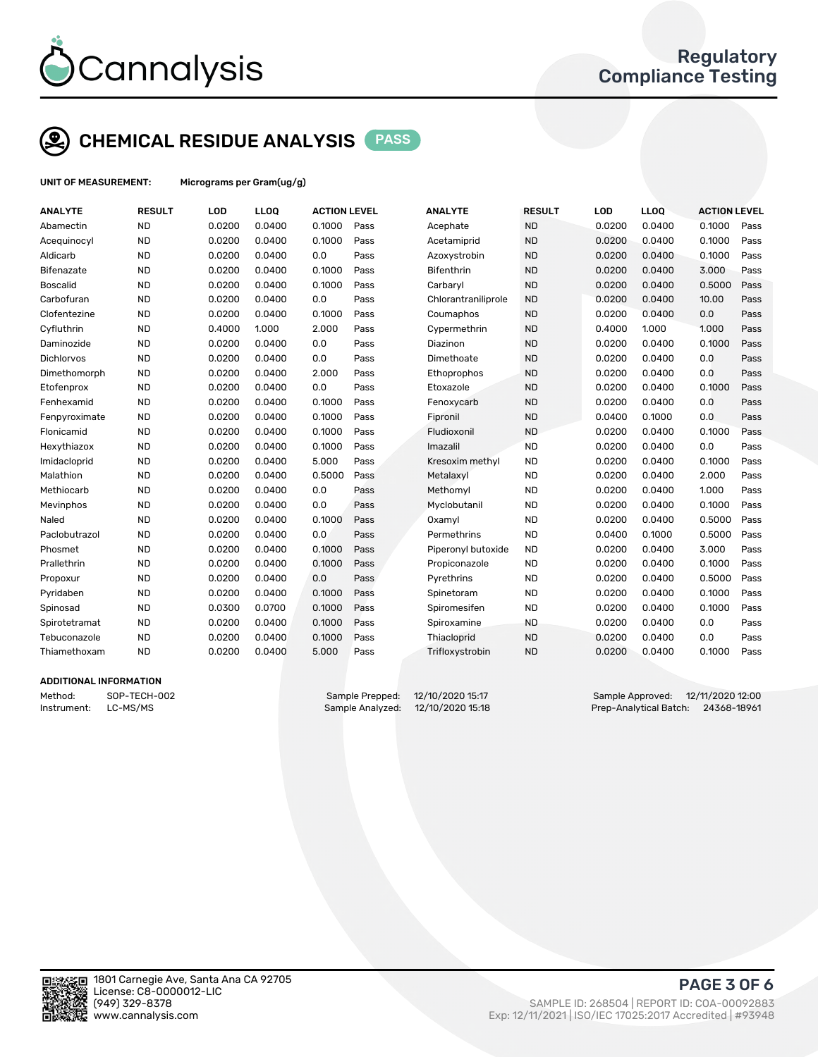

# CHEMICAL RESIDUE ANALYSIS PASS

UNIT OF MEASUREMENT: Micrograms per Gram(ug/g)

| <b>ANALYTE</b>    | <b>RESULT</b> | LOD    | LLOQ   | <b>ACTION LEVEL</b> |      | <b>ANALYTE</b>      | <b>RESULT</b> | LOD    | <b>LLOQ</b> | <b>ACTION LEVEL</b> |      |
|-------------------|---------------|--------|--------|---------------------|------|---------------------|---------------|--------|-------------|---------------------|------|
| Abamectin         | <b>ND</b>     | 0.0200 | 0.0400 | 0.1000              | Pass | Acephate            | <b>ND</b>     | 0.0200 | 0.0400      | 0.1000              | Pass |
| Acequinocyl       | <b>ND</b>     | 0.0200 | 0.0400 | 0.1000              | Pass | Acetamiprid         | <b>ND</b>     | 0.0200 | 0.0400      | 0.1000              | Pass |
| Aldicarb          | <b>ND</b>     | 0.0200 | 0.0400 | 0.0                 | Pass | Azoxystrobin        | <b>ND</b>     | 0.0200 | 0.0400      | 0.1000              | Pass |
| Bifenazate        | <b>ND</b>     | 0.0200 | 0.0400 | 0.1000              | Pass | <b>Bifenthrin</b>   | <b>ND</b>     | 0.0200 | 0.0400      | 3.000               | Pass |
| <b>Boscalid</b>   | <b>ND</b>     | 0.0200 | 0.0400 | 0.1000              | Pass | Carbaryl            | <b>ND</b>     | 0.0200 | 0.0400      | 0.5000              | Pass |
| Carbofuran        | <b>ND</b>     | 0.0200 | 0.0400 | 0.0                 | Pass | Chlorantraniliprole | <b>ND</b>     | 0.0200 | 0.0400      | 10.00               | Pass |
| Clofentezine      | <b>ND</b>     | 0.0200 | 0.0400 | 0.1000              | Pass | Coumaphos           | <b>ND</b>     | 0.0200 | 0.0400      | 0.0                 | Pass |
| Cyfluthrin        | <b>ND</b>     | 0.4000 | 1.000  | 2.000               | Pass | Cypermethrin        | <b>ND</b>     | 0.4000 | 1.000       | 1.000               | Pass |
| Daminozide        | <b>ND</b>     | 0.0200 | 0.0400 | 0.0                 | Pass | Diazinon            | <b>ND</b>     | 0.0200 | 0.0400      | 0.1000              | Pass |
| <b>Dichlorvos</b> | <b>ND</b>     | 0.0200 | 0.0400 | 0.0                 | Pass | Dimethoate          | <b>ND</b>     | 0.0200 | 0.0400      | 0.0                 | Pass |
| Dimethomorph      | <b>ND</b>     | 0.0200 | 0.0400 | 2.000               | Pass | Ethoprophos         | <b>ND</b>     | 0.0200 | 0.0400      | 0.0                 | Pass |
| Etofenprox        | <b>ND</b>     | 0.0200 | 0.0400 | 0.0                 | Pass | Etoxazole           | <b>ND</b>     | 0.0200 | 0.0400      | 0.1000              | Pass |
| Fenhexamid        | <b>ND</b>     | 0.0200 | 0.0400 | 0.1000              | Pass | Fenoxycarb          | <b>ND</b>     | 0.0200 | 0.0400      | 0.0                 | Pass |
| Fenpyroximate     | <b>ND</b>     | 0.0200 | 0.0400 | 0.1000              | Pass | Fipronil            | <b>ND</b>     | 0.0400 | 0.1000      | 0.0                 | Pass |
| Flonicamid        | <b>ND</b>     | 0.0200 | 0.0400 | 0.1000              | Pass | Fludioxonil         | <b>ND</b>     | 0.0200 | 0.0400      | 0.1000              | Pass |
| Hexythiazox       | <b>ND</b>     | 0.0200 | 0.0400 | 0.1000              | Pass | Imazalil            | <b>ND</b>     | 0.0200 | 0.0400      | 0.0                 | Pass |
| Imidacloprid      | <b>ND</b>     | 0.0200 | 0.0400 | 5.000               | Pass | Kresoxim methyl     | <b>ND</b>     | 0.0200 | 0.0400      | 0.1000              | Pass |
| Malathion         | <b>ND</b>     | 0.0200 | 0.0400 | 0.5000              | Pass | Metalaxyl           | <b>ND</b>     | 0.0200 | 0.0400      | 2.000               | Pass |
| Methiocarb        | <b>ND</b>     | 0.0200 | 0.0400 | 0.0                 | Pass | Methomyl            | <b>ND</b>     | 0.0200 | 0.0400      | 1.000               | Pass |
| Mevinphos         | <b>ND</b>     | 0.0200 | 0.0400 | 0.0                 | Pass | Myclobutanil        | <b>ND</b>     | 0.0200 | 0.0400      | 0.1000              | Pass |
| Naled             | <b>ND</b>     | 0.0200 | 0.0400 | 0.1000              | Pass | Oxamyl              | <b>ND</b>     | 0.0200 | 0.0400      | 0.5000              | Pass |
| Paclobutrazol     | <b>ND</b>     | 0.0200 | 0.0400 | 0.0                 | Pass | Permethrins         | <b>ND</b>     | 0.0400 | 0.1000      | 0.5000              | Pass |
| Phosmet           | <b>ND</b>     | 0.0200 | 0.0400 | 0.1000              | Pass | Piperonyl butoxide  | <b>ND</b>     | 0.0200 | 0.0400      | 3.000               | Pass |
| Prallethrin       | <b>ND</b>     | 0.0200 | 0.0400 | 0.1000              | Pass | Propiconazole       | <b>ND</b>     | 0.0200 | 0.0400      | 0.1000              | Pass |
| Propoxur          | <b>ND</b>     | 0.0200 | 0.0400 | 0.0                 | Pass | Pyrethrins          | <b>ND</b>     | 0.0200 | 0.0400      | 0.5000              | Pass |
| Pyridaben         | <b>ND</b>     | 0.0200 | 0.0400 | 0.1000              | Pass | Spinetoram          | <b>ND</b>     | 0.0200 | 0.0400      | 0.1000              | Pass |
| Spinosad          | <b>ND</b>     | 0.0300 | 0.0700 | 0.1000              | Pass | Spiromesifen        | <b>ND</b>     | 0.0200 | 0.0400      | 0.1000              | Pass |
| Spirotetramat     | <b>ND</b>     | 0.0200 | 0.0400 | 0.1000              | Pass | Spiroxamine         | <b>ND</b>     | 0.0200 | 0.0400      | 0.0                 | Pass |
| Tebuconazole      | <b>ND</b>     | 0.0200 | 0.0400 | 0.1000              | Pass | Thiacloprid         | <b>ND</b>     | 0.0200 | 0.0400      | 0.0                 | Pass |
| Thiamethoxam      | <b>ND</b>     | 0.0200 | 0.0400 | 5.000               | Pass | Trifloxystrobin     | <b>ND</b>     | 0.0200 | 0.0400      | 0.1000              | Pass |
|                   |               |        |        |                     |      |                     |               |        |             |                     |      |

#### ADDITIONAL INFORMATION

Method: SOP-TECH-002 Sample Prepped: 12/10/2020 15:17 Sample Approved: 12/11/2020 12:00 Instrument: LC-MS/MS Sample Analyzed: 12/10/2020 15:18 Prep-Analytical Batch: 24368-18961



PAGE 3 OF 6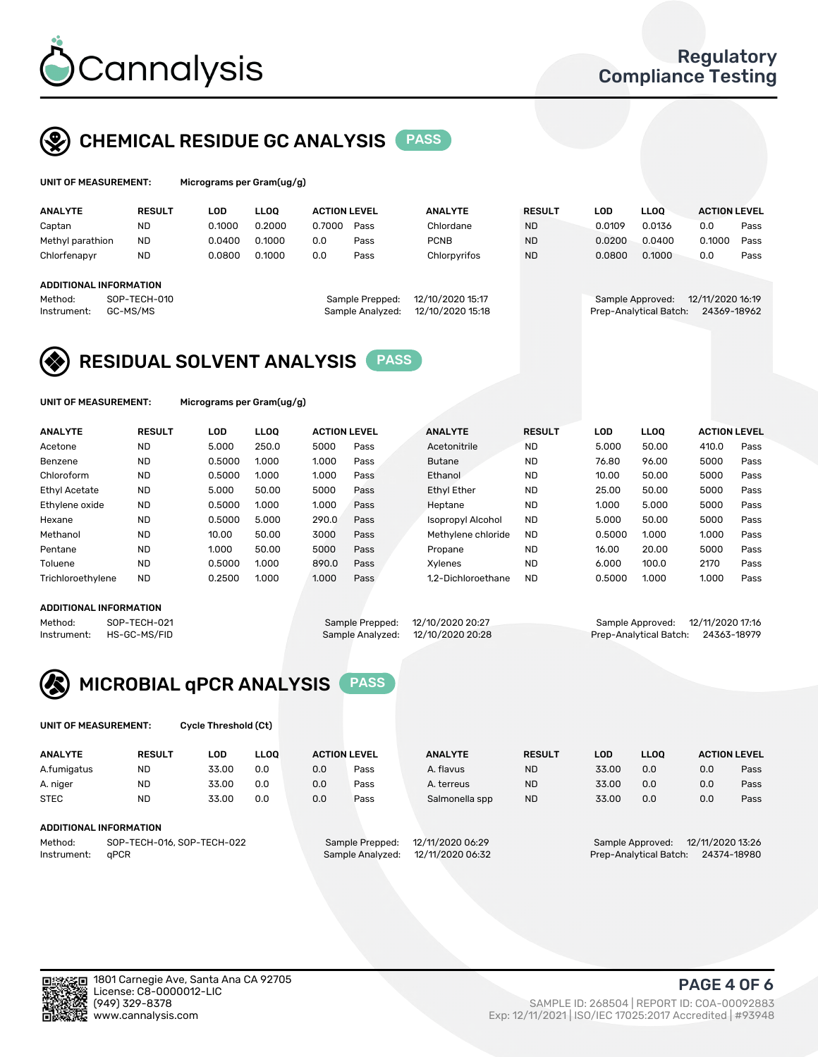

### CHEMICAL RESIDUE GC ANALYSIS PASS

| UNIT OF MEASUREMENT: |               | Micrograms per Gram(ug/g) |                |                     |                |               |        |             |                     |      |
|----------------------|---------------|---------------------------|----------------|---------------------|----------------|---------------|--------|-------------|---------------------|------|
| <b>ANALYTE</b>       | <b>RESULT</b> | LOD                       | LOO.           | <b>ACTION LEVEL</b> | <b>ANALYTE</b> | <b>RESULT</b> | LOD    | <b>LLOO</b> | <b>ACTION LEVEL</b> |      |
| Cantan               | NΠ            | ገ 1በበበ                    | <u>N 2000 </u> | חחחד ו<br>Pace      | Chlordane      | <b>ND</b>     | n n1no | በ በ136      |                     | Pacc |

| Captan                 | <b>ND</b>    | 0.1000 | 0.2000 | 0.7000 | Pass             | Chlordane        | <b>ND</b> | 0.0109 | 0.0136                 | 0.0              | Pass |
|------------------------|--------------|--------|--------|--------|------------------|------------------|-----------|--------|------------------------|------------------|------|
| Methyl parathion       | <b>ND</b>    | 0.0400 | 0.1000 | 0.0    | Pass             | <b>PCNB</b>      | <b>ND</b> | 0.0200 | 0.0400                 | 0.1000           | Pass |
| Chlorfenapyr           | <b>ND</b>    | 0.0800 | 0.1000 | 0.0    | Pass             | Chlorpyrifos     | <b>ND</b> | 0.0800 | 0.1000                 | 0.0              | Pass |
|                        |              |        |        |        |                  |                  |           |        |                        |                  |      |
| ADDITIONAL INFORMATION |              |        |        |        |                  |                  |           |        |                        |                  |      |
| Method:                | SOP-TECH-010 |        |        |        | Sample Prepped:  | 12/10/2020 15:17 |           |        | Sample Approved:       | 12/11/2020 16:19 |      |
| Instrument:            | GC-MS/MS     |        |        |        | Sample Analyzed: | 12/10/2020 15:18 |           |        | Prep-Analytical Batch: | 24369-18962      |      |
|                        |              |        |        |        |                  |                  |           |        |                        |                  |      |



UNIT OF MEASUREMENT: Micrograms per Gram(ug/g)

| <b>ANALYTE</b>       | <b>RESULT</b> | LOD    | <b>LLOO</b> | <b>ACTION LEVEL</b> |      | <b>ANALYTE</b>           | <b>RESULT</b> | LOD    | <b>LLOO</b> | <b>ACTION LEVEL</b> |      |
|----------------------|---------------|--------|-------------|---------------------|------|--------------------------|---------------|--------|-------------|---------------------|------|
| Acetone              | <b>ND</b>     | 5.000  | 250.0       | 5000                | Pass | Acetonitrile             | <b>ND</b>     | 5.000  | 50.00       | 410.0               | Pass |
| Benzene              | <b>ND</b>     | 0.5000 | 1.000       | 1.000               | Pass | <b>Butane</b>            | <b>ND</b>     | 76.80  | 96.00       | 5000                | Pass |
| Chloroform           | <b>ND</b>     | 0.5000 | 1.000       | 1.000               | Pass | Ethanol                  | <b>ND</b>     | 10.00  | 50.00       | 5000                | Pass |
| <b>Ethyl Acetate</b> | <b>ND</b>     | 5.000  | 50.00       | 5000                | Pass | <b>Ethyl Ether</b>       | <b>ND</b>     | 25.00  | 50.00       | 5000                | Pass |
| Ethylene oxide       | <b>ND</b>     | 0.5000 | 1.000       | 1.000               | Pass | Heptane                  | <b>ND</b>     | 1.000  | 5.000       | 5000                | Pass |
| Hexane               | <b>ND</b>     | 0.5000 | 5.000       | 290.0               | Pass | <b>Isopropyl Alcohol</b> | <b>ND</b>     | 5.000  | 50.00       | 5000                | Pass |
| Methanol             | <b>ND</b>     | 10.00  | 50.00       | 3000                | Pass | Methylene chloride       | <b>ND</b>     | 0.5000 | 1.000       | 1.000               | Pass |
| Pentane              | <b>ND</b>     | 1.000  | 50.00       | 5000                | Pass | Propane                  | <b>ND</b>     | 16.00  | 20.00       | 5000                | Pass |
| Toluene              | <b>ND</b>     | 0.5000 | 1.000       | 890.0               | Pass | Xvlenes                  | <b>ND</b>     | 6.000  | 100.0       | 2170                | Pass |
| Trichloroethylene    | <b>ND</b>     | 0.2500 | 1.000       | 1.000               | Pass | 1.2-Dichloroethane       | <b>ND</b>     | 0.5000 | 1.000       | 1.000               | Pass |

### ADDITIONAL INFORMATION

Method: SOP-TECH-021 Sample Prepped: 12/10/2020 20:27 Sample Approved: 12/11/2020 17:16<br>Instrument: HS-GC-MS/FID Sample Analyzed: 12/10/2020 20:28 Prep-Analytical Batch: 24363-18979

Prep-Analytical Batch: 24363-18979



UNIT OF MEASUREMENT: Cycle Threshold (Ct)

| <b>ANALYTE</b> | <b>RESULT</b>              | LOD   | <b>LLOO</b> |     | <b>ACTION LEVEL</b> | <b>ANALYTE</b>   | <b>RESULT</b> | <b>LOD</b> | <b>LLOO</b>      |                  | <b>ACTION LEVEL</b> |
|----------------|----------------------------|-------|-------------|-----|---------------------|------------------|---------------|------------|------------------|------------------|---------------------|
| A.fumigatus    | ND                         | 33.00 | 0.0         | 0.0 | Pass                | A. flavus        | <b>ND</b>     | 33.00      | 0.0              | 0.0              | Pass                |
| A. niger       | <b>ND</b>                  | 33.00 | 0.0         | 0.0 | Pass                | A. terreus       | <b>ND</b>     | 33.00      | 0.0              | 0.0              | Pass                |
| <b>STEC</b>    | <b>ND</b>                  | 33.00 | 0.0         | 0.0 | Pass                | Salmonella spp   | <b>ND</b>     | 33.00      | 0.0              | 0.0              | Pass                |
|                |                            |       |             |     |                     |                  |               |            |                  |                  |                     |
|                | ADDITIONAL INFORMATION     |       |             |     |                     |                  |               |            |                  |                  |                     |
| Method:        | SOP-TECH-016, SOP-TECH-022 |       |             |     | Sample Prepped:     | 12/11/2020 06:29 |               |            | Sample Approved: | 12/11/2020 13:26 |                     |

Instrument: qPCR Sample Analyzed: 12/11/2020 06:32 Prep-Analytical Batch: 24374-18980

PAGE 4 OF 6

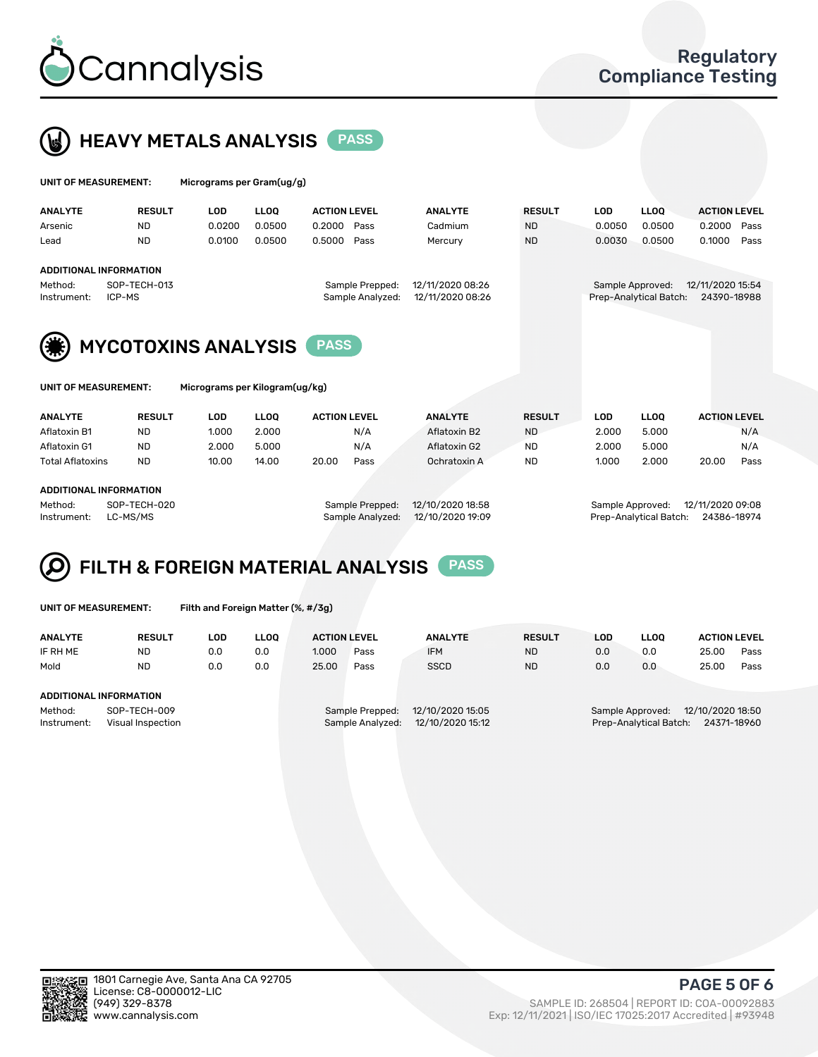



| UNIT OF MEASUREMENT: | Micrograms per Gram(ug/g) |
|----------------------|---------------------------|
|                      |                           |

| <b>ANALYTE</b>                                         | <b>RESULT</b> | LOD    | <b>LLOO</b> | <b>ACTION LEVEL</b> |                  | <b>ANALYTE</b>   | <b>RESULT</b> | LOD    | <b>LLOO</b>            | <b>ACTION LEVEL</b> |      |
|--------------------------------------------------------|---------------|--------|-------------|---------------------|------------------|------------------|---------------|--------|------------------------|---------------------|------|
| Arsenic                                                | <b>ND</b>     | 0.0200 | 0.0500      | 0.2000              | Pass             | Cadmium          | <b>ND</b>     | 0.0050 | 0.0500                 | 0.2000              | Pass |
| Lead                                                   | <b>ND</b>     | 0.0100 | 0.0500      | 0.5000              | Pass             | Mercury          | <b>ND</b>     | 0.0030 | 0.0500                 | 0.1000              | Pass |
| ADDITIONAL INFORMATION                                 |               |        |             |                     |                  |                  |               |        |                        |                     |      |
| Method:                                                | SOP-TECH-013  |        |             |                     | Sample Prepped:  | 12/11/2020 08:26 |               |        | Sample Approved:       | 12/11/2020 15:54    |      |
| Instrument:                                            | ICP-MS        |        |             |                     | Sample Analyzed: | 12/11/2020 08:26 |               |        | Prep-Analytical Batch: | 24390-18988         |      |
| (类)<br><b>MYCOTOXINS ANALYSIS</b>                      |               |        |             |                     |                  |                  |               |        |                        |                     |      |
| Micrograms per Kilogram(ug/kg)<br>UNIT OF MEASUREMENT: |               |        |             |                     |                  |                  |               |        |                        |                     |      |

| <b>ANALYTE</b>         | <b>RESULT</b> | LOD   | <b>LLOO</b> | <b>ACTION LEVEL</b> |      | <b>ANALYTE</b> | <b>RESULT</b> | LOD   | <b>LLOO</b> | <b>ACTION LEVEL</b> |      |
|------------------------|---------------|-------|-------------|---------------------|------|----------------|---------------|-------|-------------|---------------------|------|
| Aflatoxin B1           | <b>ND</b>     | 1.000 | 2.000       |                     | N/A  | Aflatoxin B2   | <b>ND</b>     | 2.000 | 5.000       |                     | N/A  |
| Aflatoxin G1           | <b>ND</b>     | 2.000 | 5.000       |                     | N/A  | Aflatoxin G2   | <b>ND</b>     | 2.000 | 5.000       |                     | N/A  |
| Total Aflatoxins       | <b>ND</b>     | 10.00 | 14.00       | 20.00               | Pass | Ochratoxin A   | <b>ND</b>     | 1.000 | 2.000       | 20.00               | Pass |
|                        |               |       |             |                     |      |                |               |       |             |                     |      |
| ADDITIONAL INFORMATION |               |       |             |                     |      |                |               |       |             |                     |      |

Method: SOP-TECH-020 Sample Prepped: 12/10/2020 18:58 Sample Approved: 12/11/2020 09:08 Instrument: LC-MS/MS Sample Analyzed: 12/10/2020 19:09 Prep-Analytical Batch: 24386-18974

#### FILTH & FOREIGN MATERIAL ANALYSIS PASS Q

UNIT OF MEASUREMENT: Filth and Foreign Matter (%, #/3g)

| <b>ANALYTE</b>                                              | <b>RESULT</b> | LOD | <b>LLOO</b> | <b>ACTION LEVEL</b>                                                         |      | <b>ANALYTE</b> | <b>RESULT</b> | LOD                                                                        | <b>LLOO</b> | <b>ACTION LEVEL</b> |      |
|-------------------------------------------------------------|---------------|-----|-------------|-----------------------------------------------------------------------------|------|----------------|---------------|----------------------------------------------------------------------------|-------------|---------------------|------|
| IF RH ME                                                    | <b>ND</b>     | 0.0 | 0.0         | 1.000                                                                       | Pass | <b>IFM</b>     | <b>ND</b>     | 0.0                                                                        | 0.0         | 25.00               | Pass |
| Mold                                                        | <b>ND</b>     | 0.0 | 0.0         | 25.00                                                                       | Pass | <b>SSCD</b>    | <b>ND</b>     | 0.0                                                                        | 0.0         | 25.00               | Pass |
| ADDITIONAL INFORMATION                                      |               |     |             |                                                                             |      |                |               |                                                                            |             |                     |      |
| Method:<br>SOP-TECH-009<br>Instrument:<br>Visual Inspection |               |     |             | 12/10/2020 15:05<br>Sample Prepped:<br>12/10/2020 15:12<br>Sample Analyzed: |      |                |               | 12/10/2020 18:50<br>Sample Approved:<br>Prep-Analytical Batch: 24371-18960 |             |                     |      |



PAGE 5 OF 6